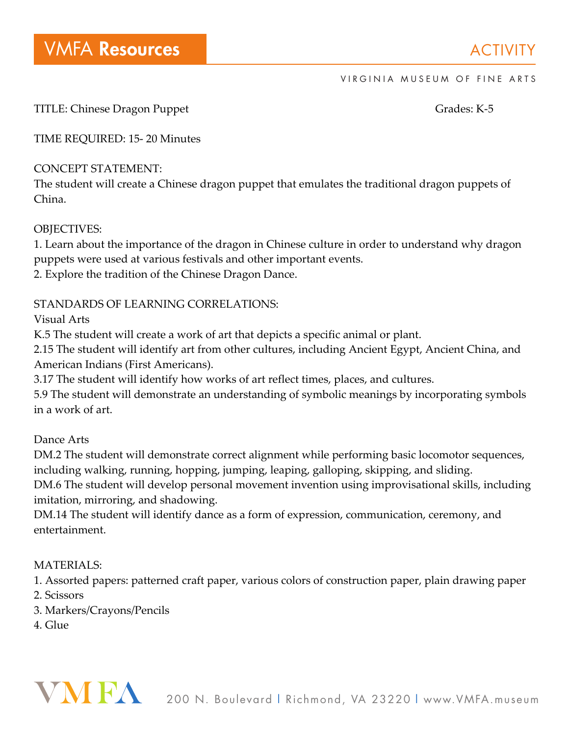TITLE: Chinese Dragon Puppet Grades: K-5

TIME REQUIRED: 15- 20 Minutes

## CONCEPT STATEMENT:

The student will create a Chinese dragon puppet that emulates the traditional dragon puppets of China.

# OBJECTIVES:

1. Learn about the importance of the dragon in Chinese culture in order to understand why dragon puppets were used at various festivals and other important events.

2. Explore the tradition of the Chinese Dragon Dance.

# STANDARDS OF LEARNING CORRELATIONS:

Visual Arts

K.5 The student will create a work of art that depicts a specific animal or plant.

2.15 The student will identify art from other cultures, including Ancient Egypt, Ancient China, and American Indians (First Americans).

3.17 The student will identify how works of art reflect times, places, and cultures.

5.9 The student will demonstrate an understanding of symbolic meanings by incorporating symbols in a work of art.

Dance Arts

DM.2 The student will demonstrate correct alignment while performing basic locomotor sequences, including walking, running, hopping, jumping, leaping, galloping, skipping, and sliding.

DM.6 The student will develop personal movement invention using improvisational skills, including imitation, mirroring, and shadowing.

DM.14 The student will identify dance as a form of expression, communication, ceremony, and entertainment.

# MATERIALS:

1. Assorted papers: patterned craft paper, various colors of construction paper, plain drawing paper 2. Scissors

3. Markers/Crayons/Pencils

4. Glue

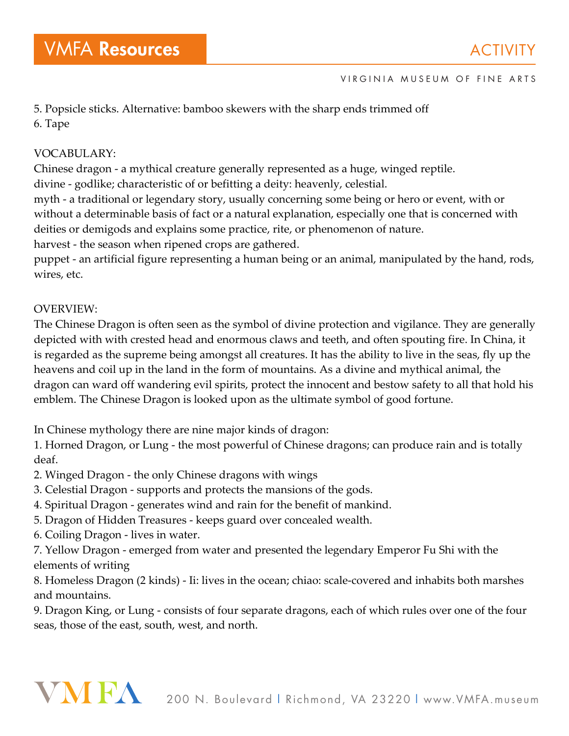5. Popsicle sticks. Alternative: bamboo skewers with the sharp ends trimmed off 6. Tape

### VOCABULARY:

Chinese dragon - a mythical creature generally represented as a huge, winged reptile.

divine - godlike; characteristic of or befitting a deity: heavenly, celestial.

myth - a traditional or legendary story, usually concerning some being or hero or event, with or without a determinable basis of fact or a natural explanation, especially one that is concerned with deities or demigods and explains some practice, rite, or phenomenon of nature.

harvest - the season when ripened crops are gathered.

puppet - an artificial figure representing a human being or an animal, manipulated by the hand, rods, wires, etc.

## OVERVIEW:

The Chinese Dragon is often seen as the symbol of divine protection and vigilance. They are generally depicted with with crested head and enormous claws and teeth, and often spouting fire. In China, it is regarded as the supreme being amongst all creatures. It has the ability to live in the seas, fly up the heavens and coil up in the land in the form of mountains. As a divine and mythical animal, the dragon can ward off wandering evil spirits, protect the innocent and bestow safety to all that hold his emblem. The Chinese Dragon is looked upon as the ultimate symbol of good fortune.

In Chinese mythology there are nine major kinds of dragon:

1. Horned Dragon, or Lung - the most powerful of Chinese dragons; can produce rain and is totally deaf.

2. Winged Dragon - the only Chinese dragons with wings

- 3. Celestial Dragon supports and protects the mansions of the gods.
- 4. Spiritual Dragon generates wind and rain for the benefit of mankind.
- 5. Dragon of Hidden Treasures keeps guard over concealed wealth.
- 6. Coiling Dragon lives in water.

7. Yellow Dragon - emerged from water and presented the legendary Emperor Fu Shi with the elements of writing

8. Homeless Dragon (2 kinds) - Ii: lives in the ocean; chiao: scale-covered and inhabits both marshes and mountains.

9. Dragon King, or Lung - consists of four separate dragons, each of which rules over one of the four seas, those of the east, south, west, and north.

# VNI FA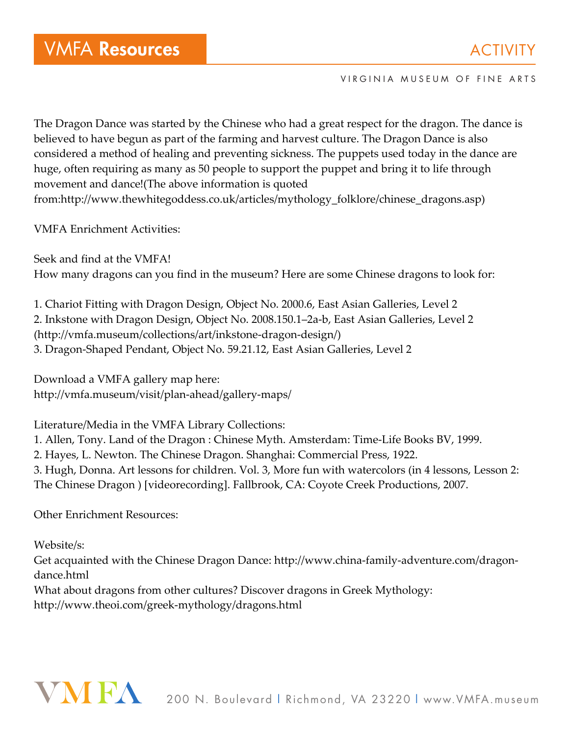The Dragon Dance was started by the Chinese who had a great respect for the dragon. The dance is believed to have begun as part of the farming and harvest culture. The Dragon Dance is also considered a method of healing and preventing sickness. The puppets used today in the dance are huge, often requiring as many as 50 people to support the puppet and bring it to life through movement and dance!(The above information is quoted from:http://www.thewhitegoddess.co.uk/articles/mythology\_folklore/chinese\_dragons.asp)

VMFA Enrichment Activities:

Seek and find at the VMFA! How many dragons can you find in the museum? Here are some Chinese dragons to look for:

1. Chariot Fitting with Dragon Design, Object No. 2000.6, East Asian Galleries, Level 2 2. Inkstone with Dragon Design, Object No. 2008.150.1–2a-b, East Asian Galleries, Level 2 (http://vmfa.museum/collections/art/inkstone-dragon-design/) 3. Dragon-Shaped Pendant, Object No. 59.21.12, East Asian Galleries, Level 2

Download a VMFA gallery map here: http://vmfa.museum/visit/plan-ahead/gallery-maps/

Literature/Media in the VMFA Library Collections:

1. Allen, Tony. Land of the Dragon : Chinese Myth. Amsterdam: Time-Life Books BV, 1999.

2. Hayes, L. Newton. The Chinese Dragon. Shanghai: Commercial Press, 1922.

3. Hugh, Donna. Art lessons for children. Vol. 3, More fun with watercolors (in 4 lessons, Lesson 2: The Chinese Dragon ) [videorecording]. Fallbrook, CA: Coyote Creek Productions, 2007.

Other Enrichment Resources:

Website/s: Get acquainted with the Chinese Dragon Dance: http://www.china-family-adventure.com/dragondance.html What about dragons from other cultures? Discover dragons in Greek Mythology: http://www.theoi.com/greek-mythology/dragons.html

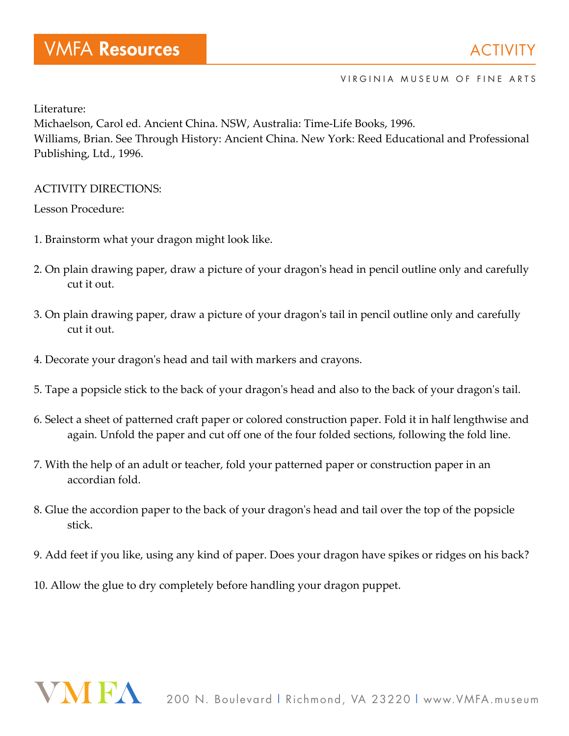Literature:

Michaelson, Carol ed. Ancient China. NSW, Australia: Time-Life Books, 1996. Williams, Brian. See Through History: Ancient China. New York: Reed Educational and Professional Publishing, Ltd., 1996.

### ACTIVITY DIRECTIONS:

Lesson Procedure:

- 1. Brainstorm what your dragon might look like.
- 2. On plain drawing paper, draw a picture of your dragon's head in pencil outline only and carefully cut it out.
- 3. On plain drawing paper, draw a picture of your dragon's tail in pencil outline only and carefully cut it out.
- 4. Decorate your dragon's head and tail with markers and crayons.
- 5. Tape a popsicle stick to the back of your dragon's head and also to the back of your dragon's tail.
- 6. Select a sheet of patterned craft paper or colored construction paper. Fold it in half lengthwise and again. Unfold the paper and cut off one of the four folded sections, following the fold line.
- 7. With the help of an adult or teacher, fold your patterned paper or construction paper in an accordian fold.
- 8. Glue the accordion paper to the back of your dragon's head and tail over the top of the popsicle stick.
- 9. Add feet if you like, using any kind of paper. Does your dragon have spikes or ridges on his back?
- 10. Allow the glue to dry completely before handling your dragon puppet.

# VN FA